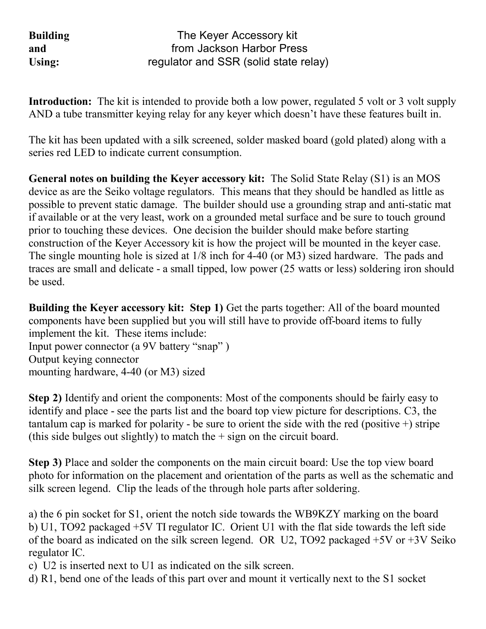| <b>Building</b> | The Keyer Accessory kit               |
|-----------------|---------------------------------------|
| and             | from Jackson Harbor Press             |
| <b>Using:</b>   | regulator and SSR (solid state relay) |

**Introduction:** The kit is intended to provide both a low power, regulated 5 volt or 3 volt supply AND a tube transmitter keying relay for any keyer which doesn't have these features built in.

The kit has been updated with a silk screened, solder masked board (gold plated) along with a series red LED to indicate current consumption.

**General notes on building the Keyer accessory kit:** The Solid State Relay (S1) is an MOS device as are the Seiko voltage regulators. This means that they should be handled as little as possible to prevent static damage. The builder should use a grounding strap and anti-static mat if available or at the very least, work on a grounded metal surface and be sure to touch ground prior to touching these devices. One decision the builder should make before starting construction of the Keyer Accessory kit is how the project will be mounted in the keyer case. The single mounting hole is sized at 1/8 inch for 4-40 (or M3) sized hardware. The pads and traces are small and delicate - a small tipped, low power (25 watts or less) soldering iron should be used.

**Building the Keyer accessory kit: Step 1)** Get the parts together: All of the board mounted components have been supplied but you will still have to provide off-board items to fully implement the kit. These items include:

Input power connector (a 9V battery "snap" ) Output keying connector

mounting hardware, 4-40 (or M3) sized

**Step 2)** Identify and orient the components: Most of the components should be fairly easy to identify and place - see the parts list and the board top view picture for descriptions. C3, the tantalum cap is marked for polarity - be sure to orient the side with the red (positive  $+$ ) stripe (this side bulges out slightly) to match the  $+$  sign on the circuit board.

**Step 3)** Place and solder the components on the main circuit board: Use the top view board photo for information on the placement and orientation of the parts as well as the schematic and silk screen legend. Clip the leads of the through hole parts after soldering.

a) the 6 pin socket for S1, orient the notch side towards the WB9KZY marking on the board b) U1, TO92 packaged +5V TI regulator IC. Orient U1 with the flat side towards the left side of the board as indicated on the silk screen legend. OR U2, TO92 packaged  $+5V$  or  $+3V$  Seiko regulator IC.

c) U2 is inserted next to U1 as indicated on the silk screen.

d) R1, bend one of the leads of this part over and mount it vertically next to the S1 socket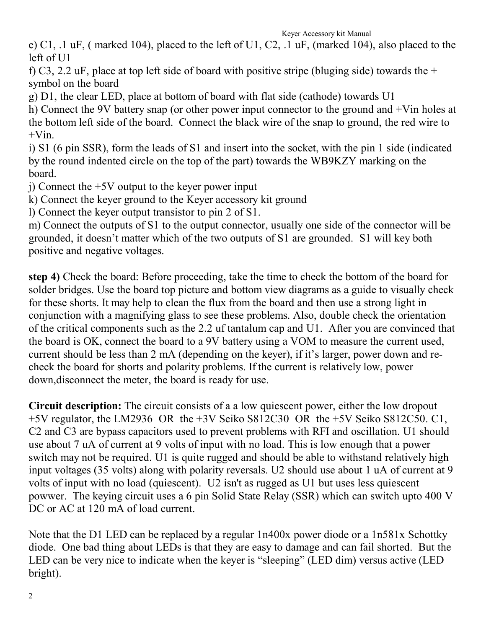e) C1, .1 uF, ( marked 104), placed to the left of U1, C2, .1 uF, (marked 104), also placed to the left of U1

f) C3, 2.2 uF, place at top left side of board with positive stripe (bluging side) towards the  $+$ symbol on the board

g) D1, the clear LED, place at bottom of board with flat side (cathode) towards U1

h) Connect the 9V battery snap (or other power input connector to the ground and +Vin holes at the bottom left side of the board. Connect the black wire of the snap to ground, the red wire to  $+V$ in.

i) S1 (6 pin SSR), form the leads of S1 and insert into the socket, with the pin 1 side (indicated by the round indented circle on the top of the part) towards the WB9KZY marking on the board.

 $j$ ) Connect the  $+5V$  output to the keyer power input

k) Connect the keyer ground to the Keyer accessory kit ground

l) Connect the keyer output transistor to pin 2 of S1.

m) Connect the outputs of S1 to the output connector, usually one side of the connector will be grounded, it doesn't matter which of the two outputs of S1 are grounded. S1 will key both positive and negative voltages.

**step 4)** Check the board: Before proceeding, take the time to check the bottom of the board for solder bridges. Use the board top picture and bottom view diagrams as a guide to visually check for these shorts. It may help to clean the flux from the board and then use a strong light in conjunction with a magnifying glass to see these problems. Also, double check the orientation of the critical components such as the 2.2 uf tantalum cap and U1. After you are convinced that the board is OK, connect the board to a 9V battery using a VOM to measure the current used, current should be less than 2 mA (depending on the keyer), if it's larger, power down and recheck the board for shorts and polarity problems. If the current is relatively low, power down,disconnect the meter, the board is ready for use.

**Circuit description:** The circuit consists of a a low quiescent power, either the low dropout +5V regulator, the LM2936 OR the +3V Seiko S812C30 OR the +5V Seiko S812C50. C1, C2 and C3 are bypass capacitors used to prevent problems with RFI and oscillation. U1 should use about 7 uA of current at 9 volts of input with no load. This is low enough that a power switch may not be required. U1 is quite rugged and should be able to withstand relatively high input voltages (35 volts) along with polarity reversals. U2 should use about 1 uA of current at 9 volts of input with no load (quiescent). U2 isn't as rugged as U1 but uses less quiescent powwer. The keying circuit uses a 6 pin Solid State Relay (SSR) which can switch upto 400 V DC or AC at 120 mA of load current.

Note that the D1 LED can be replaced by a regular 1n400x power diode or a 1n581x Schottky diode. One bad thing about LEDs is that they are easy to damage and can fail shorted. But the LED can be very nice to indicate when the keyer is "sleeping" (LED dim) versus active (LED bright).